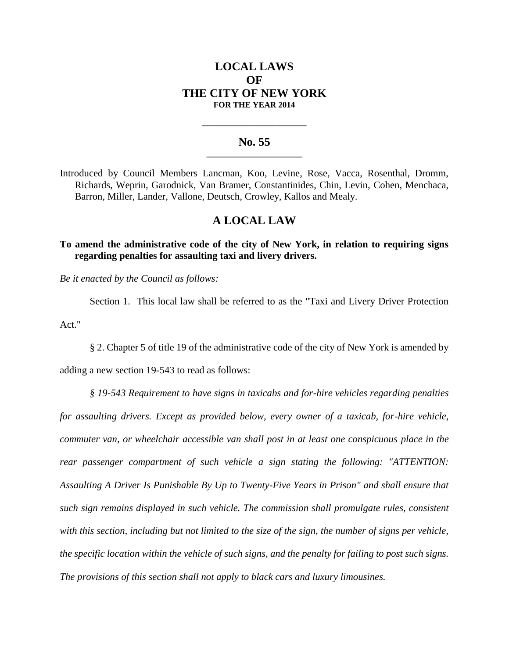# **LOCAL LAWS OF THE CITY OF NEW YORK FOR THE YEAR 2014**

### **No. 55 \_\_\_\_\_\_\_\_\_\_\_\_\_\_\_\_\_\_\_\_\_\_\_**

**\_\_\_\_\_\_\_\_\_\_\_\_\_\_\_\_\_\_\_\_\_\_\_\_\_\_\_\_**

Introduced by Council Members Lancman, Koo, Levine, Rose, Vacca, Rosenthal, Dromm, Richards, Weprin, Garodnick, Van Bramer, Constantinides, Chin, Levin, Cohen, Menchaca, Barron, Miller, Lander, Vallone, Deutsch, Crowley, Kallos and Mealy.

# **A LOCAL LAW**

**To amend the administrative code of the city of New York, in relation to requiring signs regarding penalties for assaulting taxi and livery drivers.**

*Be it enacted by the Council as follows:*

Section 1. This local law shall be referred to as the "Taxi and Livery Driver Protection Act."

§ 2. Chapter 5 of title 19 of the administrative code of the city of New York is amended by

adding a new section 19-543 to read as follows:

*§ 19-543 Requirement to have signs in taxicabs and for-hire vehicles regarding penalties for assaulting drivers. Except as provided below, every owner of a taxicab, for-hire vehicle, commuter van, or wheelchair accessible van shall post in at least one conspicuous place in the rear passenger compartment of such vehicle a sign stating the following: "ATTENTION: Assaulting A Driver Is Punishable By Up to Twenty-Five Years in Prison" and shall ensure that such sign remains displayed in such vehicle. The commission shall promulgate rules, consistent with this section, including but not limited to the size of the sign, the number of signs per vehicle, the specific location within the vehicle of such signs, and the penalty for failing to post such signs. The provisions of this section shall not apply to black cars and luxury limousines.*